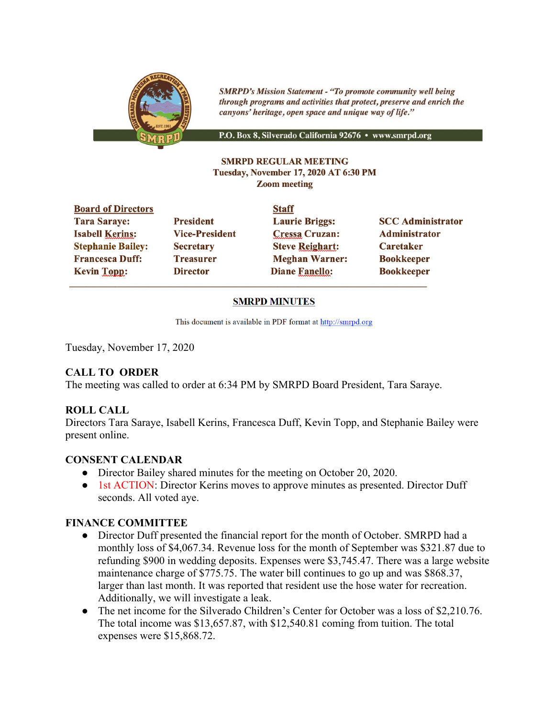

**SMRPD's Mission Statement - "To promote community well being** through programs and activities that protect, preserve and enrich the canyons' heritage, open space and unique way of life."

P.O. Box 8, Silverado California 92676 · www.smrpd.org

#### **SMRPD REGULAR MEETING** Tuesday, November 17, 2020 AT 6:30 PM **Zoom meeting**

| <b>Board of Directors</b> |                       | <b>Staff</b>           |                          |
|---------------------------|-----------------------|------------------------|--------------------------|
| <b>Tara Saraye:</b>       | <b>President</b>      | <b>Laurie Briggs:</b>  | <b>SCC Administrator</b> |
| <b>Isabell Kerins:</b>    | <b>Vice-President</b> | <b>Cressa Cruzan:</b>  | <b>Administrator</b>     |
| <b>Stephanie Bailey:</b>  | <b>Secretary</b>      | <b>Steve Reighart:</b> | <b>Caretaker</b>         |
| <b>Francesca Duff:</b>    | <b>Treasurer</b>      | <b>Meghan Warner:</b>  | <b>Bookkeeper</b>        |
| <b>Kevin Topp:</b>        | <b>Director</b>       | <b>Diane Fanello:</b>  | <b>Bookkeeper</b>        |
|                           |                       |                        |                          |

### **SMRPD MINUTES**

This document is available in PDF format at http://smrpd.org

Tuesday, November 17, 2020

# **CALL TO ORDER**

The meeting was called to order at 6:34 PM by SMRPD Board President, Tara Saraye.

### **ROLL CALL**

Directors Tara Saraye, Isabell Kerins, Francesca Duff, Kevin Topp, and Stephanie Bailey were present online.

### **CONSENT CALENDAR**

- Director Bailey shared minutes for the meeting on October 20, 2020.
- 1st ACTION: Director Kerins moves to approve minutes as presented. Director Duff seconds. All voted aye.

### **FINANCE COMMITTEE**

- Director Duff presented the financial report for the month of October. SMRPD had a monthly loss of \$4,067.34. Revenue loss for the month of September was \$321.87 due to refunding \$900 in wedding deposits. Expenses were \$3,745.47. There was a large website maintenance charge of \$775.75. The water bill continues to go up and was \$868.37, larger than last month. It was reported that resident use the hose water for recreation. Additionally, we will investigate a leak.
- The net income for the Silverado Children's Center for October was a loss of \$2,210.76. The total income was \$13,657.87, with \$12,540.81 coming from tuition. The total expenses were \$15,868.72.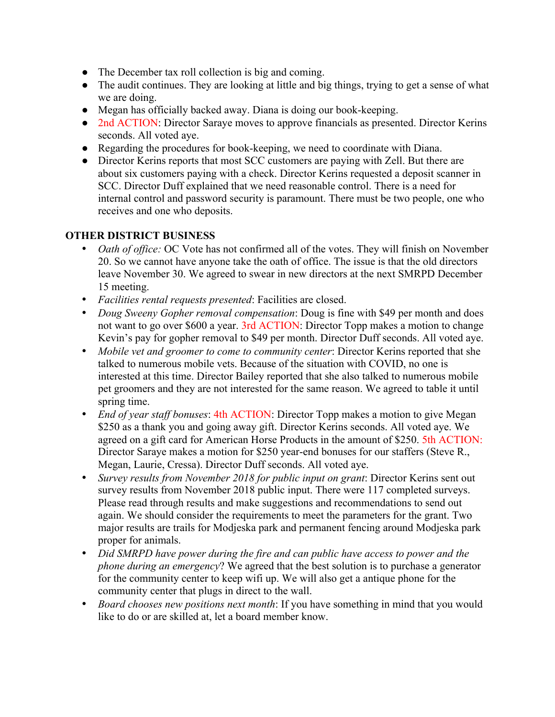- The December tax roll collection is big and coming.
- The audit continues. They are looking at little and big things, trying to get a sense of what we are doing.
- Megan has officially backed away. Diana is doing our book-keeping.
- 2nd ACTION: Director Saraye moves to approve financials as presented. Director Kerins seconds. All voted aye.
- Regarding the procedures for book-keeping, we need to coordinate with Diana.
- Director Kerins reports that most SCC customers are paying with Zell. But there are about six customers paying with a check. Director Kerins requested a deposit scanner in SCC. Director Duff explained that we need reasonable control. There is a need for internal control and password security is paramount. There must be two people, one who receives and one who deposits.

# **OTHER DISTRICT BUSINESS**

- *Oath of office:* OC Vote has not confirmed all of the votes. They will finish on November 20. So we cannot have anyone take the oath of office. The issue is that the old directors leave November 30. We agreed to swear in new directors at the next SMRPD December 15 meeting.
- *Facilities rental requests presented*: Facilities are closed.
- *Doug Sweeny Gopher removal compensation*: Doug is fine with \$49 per month and does not want to go over \$600 a year. 3rd ACTION: Director Topp makes a motion to change Kevin's pay for gopher removal to \$49 per month. Director Duff seconds. All voted aye.
- *Mobile vet and groomer to come to community center*: Director Kerins reported that she talked to numerous mobile vets. Because of the situation with COVID, no one is interested at this time. Director Bailey reported that she also talked to numerous mobile pet groomers and they are not interested for the same reason. We agreed to table it until spring time.
- *End of year staff bonuses*: 4th ACTION: Director Topp makes a motion to give Megan \$250 as a thank you and going away gift. Director Kerins seconds. All voted aye. We agreed on a gift card for American Horse Products in the amount of \$250. 5th ACTION: Director Saraye makes a motion for \$250 year-end bonuses for our staffers (Steve R., Megan, Laurie, Cressa). Director Duff seconds. All voted aye.
- *Survey results from November 2018 for public input on grant*: Director Kerins sent out survey results from November 2018 public input. There were 117 completed surveys. Please read through results and make suggestions and recommendations to send out again. We should consider the requirements to meet the parameters for the grant. Two major results are trails for Modjeska park and permanent fencing around Modjeska park proper for animals.
- *Did SMRPD have power during the fire and can public have access to power and the phone during an emergency*? We agreed that the best solution is to purchase a generator for the community center to keep wifi up. We will also get a antique phone for the community center that plugs in direct to the wall.
- *Board chooses new positions next month*: If you have something in mind that you would like to do or are skilled at, let a board member know.